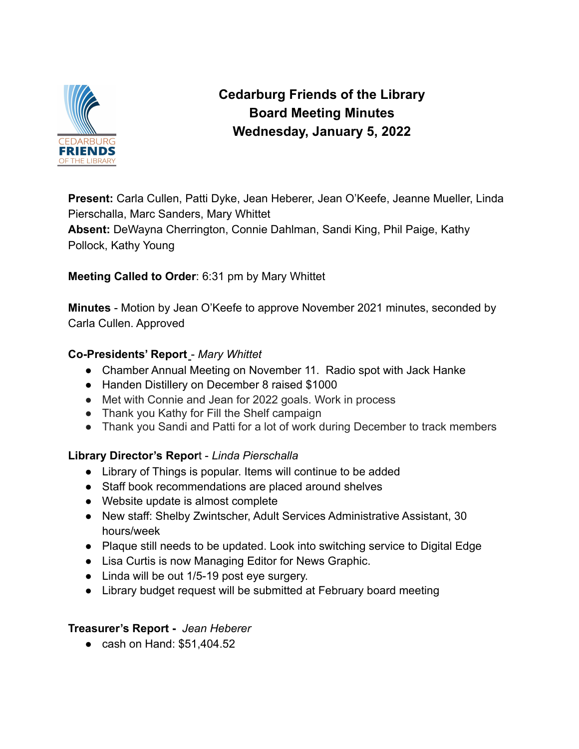

# **Cedarburg Friends of the Library Board Meeting Minutes Wednesday, January 5, 2022**

**Present:** Carla Cullen, Patti Dyke, Jean Heberer, Jean O'Keefe, Jeanne Mueller, Linda Pierschalla, Marc Sanders, Mary Whittet

**Absent:** DeWayna Cherrington, Connie Dahlman, Sandi King, Phil Paige, Kathy Pollock, Kathy Young

**Meeting Called to Order**: 6:31 pm by Mary Whittet

**Minutes** - Motion by Jean O'Keefe to approve November 2021 minutes, seconded by Carla Cullen. Approved

## **Co-Presidents' Report** - *Mary Whittet*

- Chamber Annual Meeting on November 11. Radio spot with Jack Hanke
- Handen Distillery on December 8 raised \$1000
- Met with Connie and Jean for 2022 goals. Work in process
- Thank you Kathy for Fill the Shelf campaign
- Thank you Sandi and Patti for a lot of work during December to track members

## **Library Director's Repor**t - *Linda Pierschalla*

- *●* Library of Things is popular. Items will continue to be added
- *●* Staff book recommendations are placed around shelves
- *●* Website update is almost complete
- *●* New staff: Shelby Zwintscher, Adult Services Administrative Assistant, 30 hours/week
- *●* Plaque still needs to be updated. Look into switching service to Digital Edge
- *●* Lisa Curtis is now Managing Editor for News Graphic.
- *●* Linda will be out 1/5-19 post eye surgery.
- *●* Library budget request will be submitted at February board meeting

## **Treasurer's Report -** *Jean Heberer*

● cash on Hand: \$51,404.52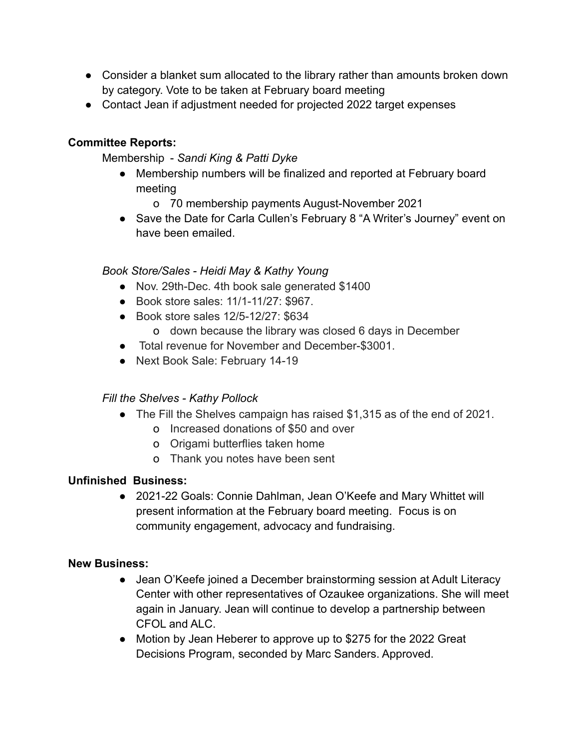- Consider a blanket sum allocated to the library rather than amounts broken down by category. Vote to be taken at February board meeting
- Contact Jean if adjustment needed for projected 2022 target expenses

### **Committee Reports:**

#### Membership - *Sandi King & Patti Dyke*

- Membership numbers will be finalized and reported at February board meeting
	- o 70 membership payments August-November 2021
- Save the Date for Carla Cullen's February 8 "A Writer's Journey" event on have been emailed.

#### *Book Store/Sales - Heidi May & Kathy Young*

- Nov. 29th-Dec. 4th book sale generated \$1400
- Book store sales: 11/1-11/27: \$967.
- Book store sales 12/5-12/27: \$634
	- o down because the library was closed 6 days in December
- Total revenue for November and December-\$3001.
- Next Book Sale: February 14-19

#### *Fill the Shelves - Kathy Pollock*

- The Fill the Shelves campaign has raised \$1,315 as of the end of 2021.
	- o Increased donations of \$50 and over
	- o Origami butterflies taken home
	- o Thank you notes have been sent

#### **Unfinished Business:**

● 2021-22 Goals: Connie Dahlman, Jean O'Keefe and Mary Whittet will present information at the February board meeting. Focus is on community engagement, advocacy and fundraising.

#### **New Business:**

- Jean O'Keefe joined a December brainstorming session at Adult Literacy Center with other representatives of Ozaukee organizations. She will meet again in January. Jean will continue to develop a partnership between CFOL and ALC.
- Motion by Jean Heberer to approve up to \$275 for the 2022 Great Decisions Program, seconded by Marc Sanders. Approved.